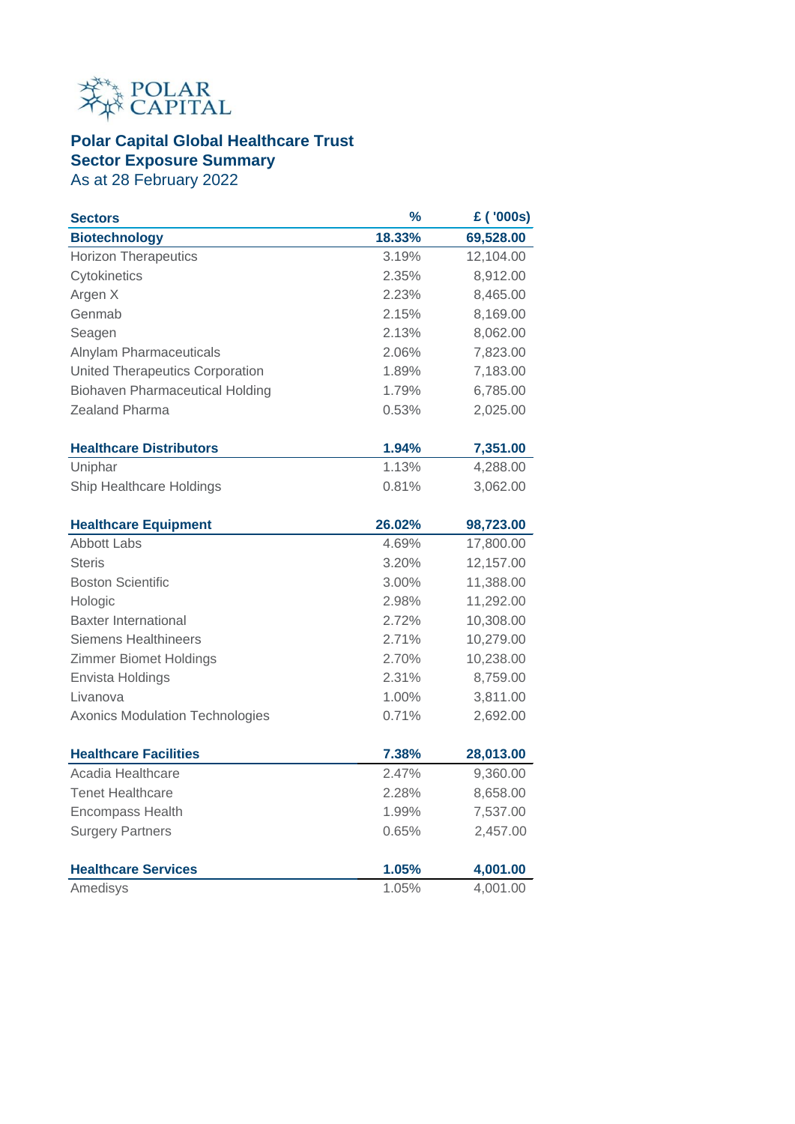

## **Polar Capital Global Healthcare Trust Sector Exposure Summary**

As at 28 February 2022

| <b>Sectors</b>                         | $\frac{9}{6}$ | £ ('000s) |
|----------------------------------------|---------------|-----------|
| <b>Biotechnology</b>                   | 18.33%        | 69,528.00 |
| <b>Horizon Therapeutics</b>            | 3.19%         | 12,104.00 |
| Cytokinetics                           | 2.35%         | 8,912.00  |
| Argen X                                | 2.23%         | 8,465.00  |
| Genmab                                 | 2.15%         | 8,169.00  |
| Seagen                                 | 2.13%         | 8,062.00  |
| Alnylam Pharmaceuticals                | 2.06%         | 7,823.00  |
| United Therapeutics Corporation        | 1.89%         | 7,183.00  |
| <b>Biohaven Pharmaceutical Holding</b> | 1.79%         | 6,785.00  |
| Zealand Pharma                         | 0.53%         | 2,025.00  |
| <b>Healthcare Distributors</b>         | 1.94%         | 7,351.00  |
| Uniphar                                | 1.13%         | 4,288.00  |
| Ship Healthcare Holdings               | 0.81%         | 3,062.00  |
| <b>Healthcare Equipment</b>            | 26.02%        | 98,723.00 |
| <b>Abbott Labs</b>                     | 4.69%         | 17,800.00 |
| <b>Steris</b>                          | 3.20%         | 12,157.00 |
| <b>Boston Scientific</b>               | 3.00%         | 11,388.00 |
| Hologic                                | 2.98%         | 11,292.00 |
| <b>Baxter International</b>            | 2.72%         | 10,308.00 |
| <b>Siemens Healthineers</b>            | 2.71%         | 10,279.00 |
| <b>Zimmer Biomet Holdings</b>          | 2.70%         | 10,238.00 |
| Envista Holdings                       | 2.31%         | 8,759.00  |
| Livanova                               | 1.00%         | 3,811.00  |
| <b>Axonics Modulation Technologies</b> | 0.71%         | 2,692.00  |
| <b>Healthcare Facilities</b>           | 7.38%         | 28,013.00 |
| Acadia Healthcare                      | 2.47%         | 9,360.00  |
| <b>Tenet Healthcare</b>                | 2.28%         | 8,658.00  |
| <b>Encompass Health</b>                | 1.99%         | 7,537.00  |
| <b>Surgery Partners</b>                | 0.65%         | 2,457.00  |
| <b>Healthcare Services</b>             | 1.05%         | 4,001.00  |
| Amedisys                               | 1.05%         | 4,001.00  |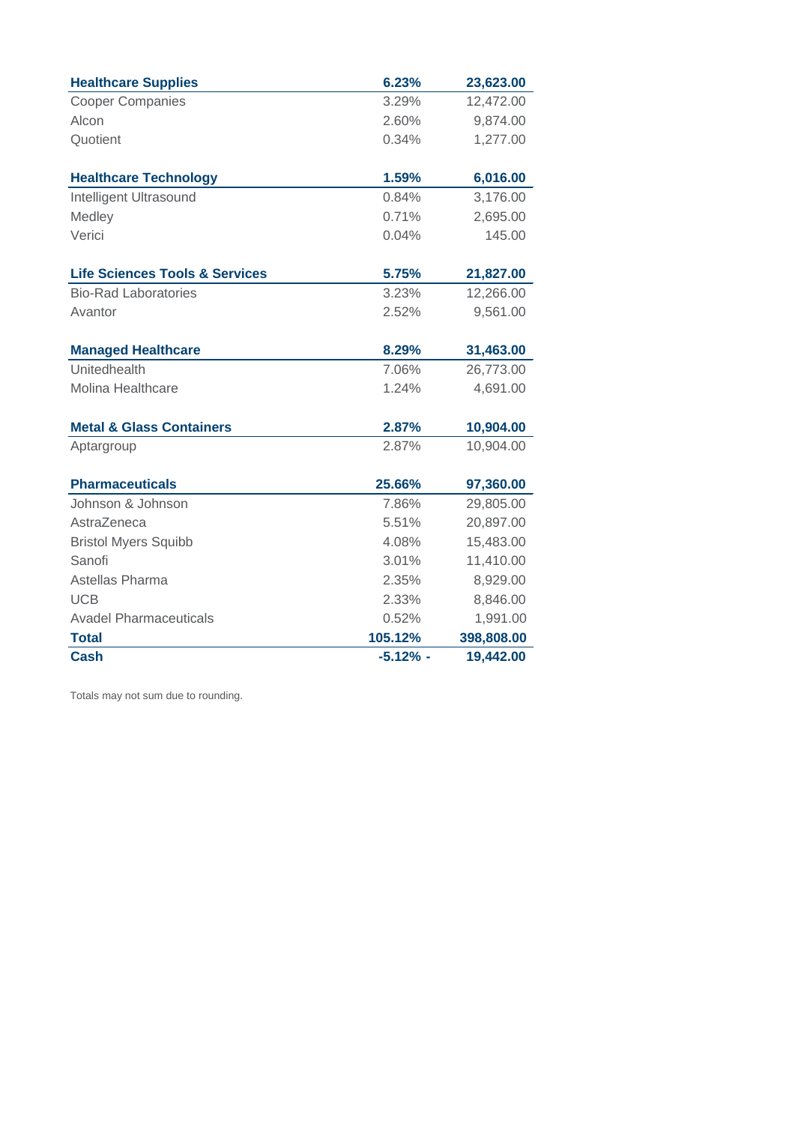| <b>Healthcare Supplies</b>                | 6.23%      | 23,623.00  |
|-------------------------------------------|------------|------------|
| <b>Cooper Companies</b>                   | 3.29%      | 12,472.00  |
| Alcon                                     | 2.60%      | 9,874.00   |
| Quotient                                  | 0.34%      | 1,277.00   |
|                                           |            |            |
| <b>Healthcare Technology</b>              | 1.59%      | 6,016.00   |
| Intelligent Ultrasound                    | 0.84%      | 3,176.00   |
| Medley                                    | 0.71%      | 2,695.00   |
| Verici                                    | 0.04%      | 145.00     |
| <b>Life Sciences Tools &amp; Services</b> | 5.75%      | 21,827.00  |
| <b>Bio-Rad Laboratories</b>               | 3.23%      | 12,266.00  |
| Avantor                                   | 2.52%      | 9,561.00   |
| <b>Managed Healthcare</b>                 | 8.29%      | 31,463.00  |
| Unitedhealth                              | 7.06%      | 26,773.00  |
| Molina Healthcare                         | 1.24%      | 4,691.00   |
| <b>Metal &amp; Glass Containers</b>       | 2.87%      | 10,904.00  |
| Aptargroup                                | 2.87%      | 10,904.00  |
| <b>Pharmaceuticals</b>                    | 25.66%     | 97,360.00  |
| Johnson & Johnson                         | 7.86%      | 29,805.00  |
| AstraZeneca                               | 5.51%      | 20,897.00  |
| <b>Bristol Myers Squibb</b>               | 4.08%      | 15,483.00  |
| Sanofi                                    | 3.01%      | 11,410.00  |
| Astellas Pharma                           | 2.35%      | 8,929.00   |
| <b>UCB</b>                                | 2.33%      | 8,846.00   |
| <b>Avadel Pharmaceuticals</b>             | 0.52%      | 1,991.00   |
| <b>Total</b>                              | 105.12%    | 398,808.00 |
| <b>Cash</b>                               | $-5.12%$ - | 19,442.00  |

Totals may not sum due to rounding.